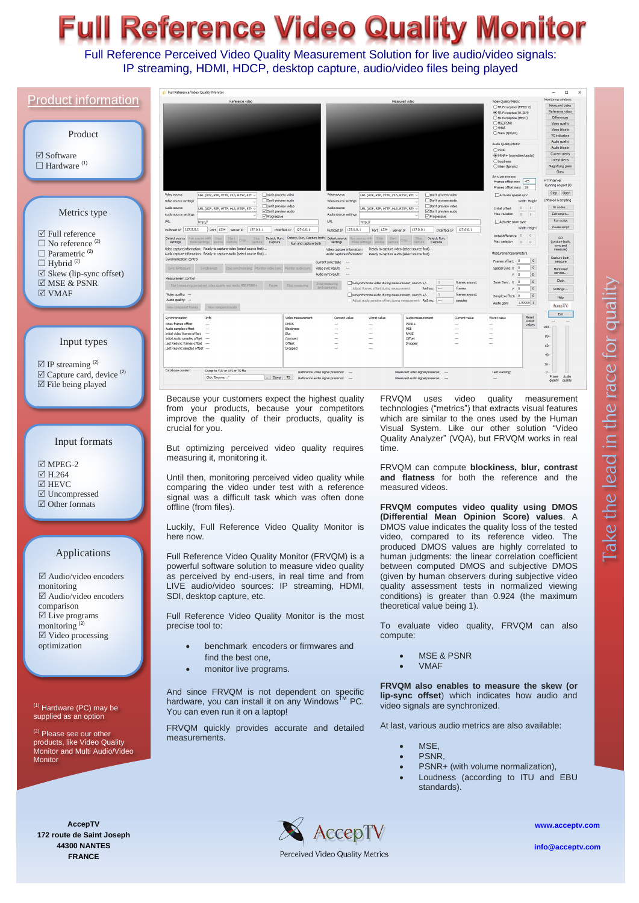# **Il Reference Video Quality Monitor**

Full Reference Perceived Video Quality Measurement Solution for live audio/video signals: IP streaming, HDMI, HDCP, desktop capture, audio/video files being played

|                                                                                   | Full Reference Video Quality Monitor                                                                                                                                                                                                                                  | $\Box$                                                                                                                                                                                                                                                        |
|-----------------------------------------------------------------------------------|-----------------------------------------------------------------------------------------------------------------------------------------------------------------------------------------------------------------------------------------------------------------------|---------------------------------------------------------------------------------------------------------------------------------------------------------------------------------------------------------------------------------------------------------------|
| <b>Product information</b>                                                        | Reference video                                                                                                                                                                                                                                                       | fonitoring window<br>Measured video<br>Video Quality Metric<br>Measured video<br>○ FR Perceptual (MPEG-2)                                                                                                                                                     |
|                                                                                   |                                                                                                                                                                                                                                                                       | Reference video<br>TR Perceptual (H. 264)<br>Differences<br>○ FR Perceptual (HEVC)                                                                                                                                                                            |
|                                                                                   |                                                                                                                                                                                                                                                                       | OMSE/PSNR<br>Video quality<br>OWMAF<br>Video bitrate<br>Skew (lipsync)                                                                                                                                                                                        |
| Product                                                                           |                                                                                                                                                                                                                                                                       | <b>VQ</b> indicators<br>Audio quality<br>Audio Quality Metric                                                                                                                                                                                                 |
| $\boxtimes$ Software                                                              |                                                                                                                                                                                                                                                                       | Audio bitrate<br>OPSNR<br>Current alerts<br>$\circledR$ PSNR + (normalized audio)                                                                                                                                                                             |
| $\Box$ Hardware <sup>(1)</sup>                                                    |                                                                                                                                                                                                                                                                       | Latest alerts<br>O Loudness<br>○ Skew (lipsync)<br>Magnifying glass                                                                                                                                                                                           |
|                                                                                   |                                                                                                                                                                                                                                                                       | Skew<br>Sync parameters<br><b>HTTP</b> server                                                                                                                                                                                                                 |
|                                                                                   |                                                                                                                                                                                                                                                                       | Frames offset min: 25<br>Running on port 80<br>Frames offset max: 25<br>Stop Open                                                                                                                                                                             |
|                                                                                   | Video source<br>Video source<br>URL (UDP, RTP, HTTP, HLS, RTSP, RTP V<br>Don't process video<br>Don't process audio<br>Video source settings<br>Video source settings                                                                                                 | URL (UDP, RTP, HTTP, HLS, RTSP, RTF $\sim$<br>Don't process video<br>Activate spatial sync<br>Infrared & scripting<br>Don't process audio<br>Width Height                                                                                                     |
| Metrics type                                                                      | □ Don't preview video<br>Audio source<br>Audio source<br>URL (UDP, RTP, HTTP, HLS, RTSP, RT) ~<br>□ Don't preview audio<br>Audio source settings<br>Audio source settings<br>$\vee$ Progressive                                                                       | Don't preview video<br>IR codes<br>$\begin{array}{ccc} 0 & 0 \end{array}$<br>Initial offset<br>URL (UDP. RTP. HTTP. HLS. RTSP. RTI V<br>Don't preview audio<br>Edit script<br>Max variation<br>$\begin{array}{ccc} 0 & 0 \end{array}$<br><b>√</b> Progressive |
|                                                                                   | <b>URL</b><br><b>URL</b><br>http:/<br>http:/<br>Multicast IP 127.0.0.1 Port 1234 Server IP 127.0.0.1 Interface IP 127.0.0.1                                                                                                                                           | Run script<br>Activate zoom sync<br>Pause script<br>Width Height<br>Multicast IP   127.0.0.1 Port   1234   Server IP   127.0.0.1   Interface IP   127.0.0.1                                                                                                   |
| $\boxtimes$ Full reference                                                        | Start<br>Stop Detect, Run, Detect, Run, Capture both Detect source<br>Detect source<br>kun source with Stop<br>in source with Stop<br>Crop.<br>settings                                                                                                               | Initial difference 0<br>Start<br>Detect, Run,<br>GO<br>Crop<br>Max variation<br>(capture both,<br>0<br>capture Capture                                                                                                                                        |
| $\Box$ No reference <sup>(2)</sup><br>$\Box$ Parametric <sup>(2)</sup>            | these settings source capture<br>capture Capture Run and capture both<br>settings<br>Video capture information: Ready to capture video (select source first)<br>Video capture information:<br>Audio capture information: Ready to capture audio (select source first) | these settings source capture<br>sync and<br>Ready to capture video (select source first)<br>measure)<br>Measurement parameters<br>Audio capture information: Ready to capture audio (select source first)                                                    |
| $\Box$ Hybrid <sup>(2)</sup>                                                      | Synchronization control<br>Current sync task:                                                                                                                                                                                                                         | Capture both<br>Frames offset: 0<br>$\circ$<br>measure                                                                                                                                                                                                        |
| $\boxtimes$ Skew (lip-sync offset)                                                | Synchronize Stop synchronizing Monitor video sync Monitor audio sync<br>Sync & Measure<br>Video sync result:<br>Audio sync result:                                                                                                                                    | Spatial Sync: X 0<br>$\circ$<br>Monitored<br>service<br> 0 <br>$\overline{0}$                                                                                                                                                                                 |
| $\boxtimes$ MSE & PSNR                                                            | Stop measuring<br>Pause Stop measuring<br>red video quality and audio MSE/PSNR+<br>Start measuring per                                                                                                                                                                | Clock<br> 0 <br>Zoom Sync: X<br>$ 0\rangle$<br>frames around.<br>ReSynchronize video during measurement, search +/-<br>frames<br> 0 <br>Adjust frames offset during measurement ReSync:<br>$\circ$<br>Y<br>Settings                                           |
| $\boxtimes$ VMAF                                                                  | Video quality: -<br>Audio quality: --                                                                                                                                                                                                                                 | $\Box$ ReSynchronize audio during measurement, search +/-<br>frames around.<br> 0 <br>Samples offset: 0<br>Help<br>Adiust audio samples offset during measurement ReSync:<br>samples<br>1.00000 1<br>Audio gain:                                              |
|                                                                                   | View compared audio<br>View compared frames                                                                                                                                                                                                                           | AccepTV<br>Exit                                                                                                                                                                                                                                               |
|                                                                                   | Synchronization<br><b>Info</b><br>Video measurement<br>Current value<br>Video frames offset<br><b>DMOS</b>                                                                                                                                                            | Reset<br>Worst value<br>Audio measurement<br>Current value<br>Worst value<br>worst<br>$PSNR +$<br>values<br>100                                                                                                                                               |
|                                                                                   | Audio samples offset<br>Blockiness<br>Initial video frames offset<br>Blur<br>Contrast<br>Initial audio samples offset                                                                                                                                                 | MSE<br>RMSE<br>80<br>$\cdots$<br>Offset                                                                                                                                                                                                                       |
| Input types                                                                       | Offset<br>Last ReSync frames offset<br>Last ReSync samples offset<br>Dropped                                                                                                                                                                                          | Dropped<br>60                                                                                                                                                                                                                                                 |
|                                                                                   |                                                                                                                                                                                                                                                                       | 40.                                                                                                                                                                                                                                                           |
| $\boxtimes$ IP streaming <sup>(2)</sup><br>$\boxtimes$ Capture card, device $(2)$ | Database content<br>Dump to YUV or AVI or TS file<br>Reference video signal presence:                                                                                                                                                                                 | $20 -$<br>Measured video signal presence:<br>Last warning:<br>0                                                                                                                                                                                               |
| $\boxtimes$ File being played                                                     | Click "Browse"<br>Dump TS Reference audio signal presence:                                                                                                                                                                                                            | Frame Audio<br>Measured audio signal presence:<br>quality quality                                                                                                                                                                                             |
|                                                                                   | Because your customers expect the highest quality                                                                                                                                                                                                                     | <b>FRVQM</b><br>video<br>quality<br>uses<br>measurement                                                                                                                                                                                                       |
|                                                                                   | from your products, because your competitors                                                                                                                                                                                                                          | technologies ("metrics") that extracts visual features                                                                                                                                                                                                        |
|                                                                                   | improve the quality of their products, quality is                                                                                                                                                                                                                     | which are similar to the ones used by the Human                                                                                                                                                                                                               |
|                                                                                   | crucial for you.                                                                                                                                                                                                                                                      | Visual System. Like our other solution "Video                                                                                                                                                                                                                 |
| Input formats                                                                     | But optimizing perceived video quality requires                                                                                                                                                                                                                       | Quality Analyzer" (VQA), but FRVQM works in real<br>time.                                                                                                                                                                                                     |
|                                                                                   | measuring it, monitoring it.                                                                                                                                                                                                                                          |                                                                                                                                                                                                                                                               |
|                                                                                   |                                                                                                                                                                                                                                                                       |                                                                                                                                                                                                                                                               |
| $\boxtimes$ MPEG-2                                                                |                                                                                                                                                                                                                                                                       | FRVQM can compute <b>blockiness</b> , <b>blur</b> , <b>contrast</b>                                                                                                                                                                                           |
| $\boxtimes$ H.264                                                                 | Until then, monitoring perceived video quality while                                                                                                                                                                                                                  | and flatness for both the reference and the                                                                                                                                                                                                                   |
| $\boxtimes$ HEVC                                                                  | comparing the video under test with a reference                                                                                                                                                                                                                       | measured videos.                                                                                                                                                                                                                                              |
| $\boxtimes$ Uncompressed<br>$\boxtimes$ Other formats                             | signal was a difficult task which was often done                                                                                                                                                                                                                      |                                                                                                                                                                                                                                                               |
|                                                                                   | offline (from files).                                                                                                                                                                                                                                                 | FRVQM computes video quality using DMOS<br>(Differential Mean Opinion Score) values. A                                                                                                                                                                        |
|                                                                                   | Luckily, Full Reference Video Quality Monitor is                                                                                                                                                                                                                      | DMOS value indicates the quality loss of the tested                                                                                                                                                                                                           |
|                                                                                   | here now.                                                                                                                                                                                                                                                             | video, compared to its reference video. The                                                                                                                                                                                                                   |
| Applications                                                                      |                                                                                                                                                                                                                                                                       | produced DMOS values are highly correlated to                                                                                                                                                                                                                 |
|                                                                                   | Full Reference Video Quality Monitor (FRVQM) is a                                                                                                                                                                                                                     | human judgments: the linear correlation coefficient<br>between computed DMOS and subjective DMOS                                                                                                                                                              |
| $\boxtimes$ Audio/video encoders                                                  | powerful software solution to measure video quality<br>as perceived by end-users, in real time and from                                                                                                                                                               | (given by human observers during subjective video                                                                                                                                                                                                             |
| monitoring                                                                        | LIVE audio/video sources: IP streaming, HDMI,                                                                                                                                                                                                                         | quality assessment tests in normalized viewing                                                                                                                                                                                                                |
| $\boxtimes$ Audio/video encoders                                                  | SDI, desktop capture, etc.                                                                                                                                                                                                                                            | conditions) is greater than 0.924 (the maximum                                                                                                                                                                                                                |
| comparison<br>$\boxtimes$ Live programs                                           | Full Reference Video Quality Monitor is the most                                                                                                                                                                                                                      | theoretical value being 1).                                                                                                                                                                                                                                   |
| monitoring <sup>(2)</sup>                                                         | precise tool to:                                                                                                                                                                                                                                                      | To evaluate video quality, FRVQM can also                                                                                                                                                                                                                     |
| $\boxtimes$ Video processing                                                      |                                                                                                                                                                                                                                                                       | compute:                                                                                                                                                                                                                                                      |
| optimization                                                                      | benchmark encoders or firmwares and                                                                                                                                                                                                                                   |                                                                                                                                                                                                                                                               |
|                                                                                   | find the best one,                                                                                                                                                                                                                                                    | <b>MSE &amp; PSNR</b><br>$\bullet$                                                                                                                                                                                                                            |
|                                                                                   | monitor live programs.<br>$\bullet$                                                                                                                                                                                                                                   | <b>VMAF</b>                                                                                                                                                                                                                                                   |
|                                                                                   |                                                                                                                                                                                                                                                                       | FRVQM also enables to measure the skew (or                                                                                                                                                                                                                    |
|                                                                                   | And since FRVQM is not dependent on specific                                                                                                                                                                                                                          | lip-sync offset) which indicates how audio and                                                                                                                                                                                                                |
| $(1)$ Hardware (PC) may be                                                        | hardware, you can install it on any Windows <sup>™</sup> PC.<br>You can even run it on a laptop!                                                                                                                                                                      | video signals are synchronized.                                                                                                                                                                                                                               |
| supplied as an option                                                             |                                                                                                                                                                                                                                                                       |                                                                                                                                                                                                                                                               |
| <sup>(2)</sup> Please see our other                                               | FRVQM quickly provides accurate and detailed<br>measurements.                                                                                                                                                                                                         | At last, various audio metrics are also available:                                                                                                                                                                                                            |
| products, like Video Quality<br>Monitor and Multi Audio/Video                     |                                                                                                                                                                                                                                                                       | MSE,<br>$\bullet$                                                                                                                                                                                                                                             |
| <b>Monitor</b>                                                                    |                                                                                                                                                                                                                                                                       | PSNR,<br>$\bullet$                                                                                                                                                                                                                                            |
|                                                                                   |                                                                                                                                                                                                                                                                       | PSNR+ (with volume normalization),                                                                                                                                                                                                                            |
|                                                                                   |                                                                                                                                                                                                                                                                       | Loudness (according to ITU and EBU<br>$\bullet$<br>standards).                                                                                                                                                                                                |
|                                                                                   |                                                                                                                                                                                                                                                                       |                                                                                                                                                                                                                                                               |
|                                                                                   |                                                                                                                                                                                                                                                                       |                                                                                                                                                                                                                                                               |
| <b>AccepTV</b>                                                                    | AccepTV                                                                                                                                                                                                                                                               | www.acceptv                                                                                                                                                                                                                                                   |

Perceived Video Quality Metrics

**44300 NANTES FRANCE**

**[www.acceptv.com](http://www.acceptv.com/)**